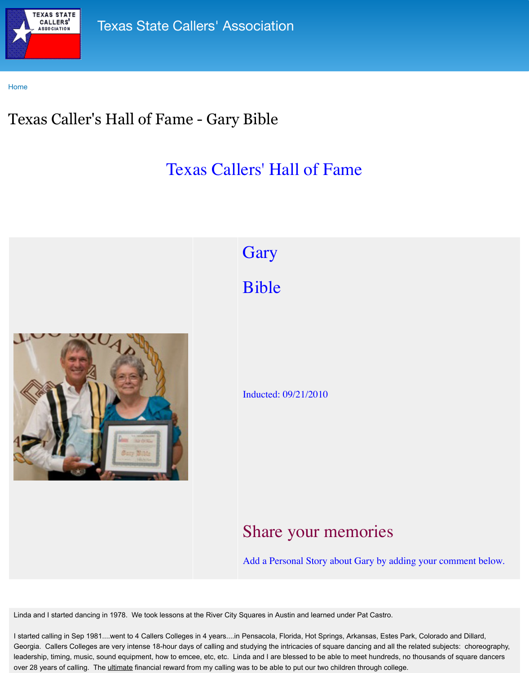

## **[Gary](http://www.txcallers.com/)**

Bible

## Inducted: 09/21/2010

## Share your m

Add a Personal Story ab

Linda and I started dancing in 1978. We took lessons at the River City Squares in Austin and learned

I started calling in Sep 1981....went to 4 Callers Colleges in 4 years....in Pensacola, Florida, Hot Spring Georgia. Callers Colleges are very intense 18-hour days of calling and studying the intricacies of squa leadership, timing, music, sound equipment, how to emcee, etc, etc. Linda and I are blessed to be able over 28 years of calling. The ultimate financial reward from my calling was to be able to put our two children